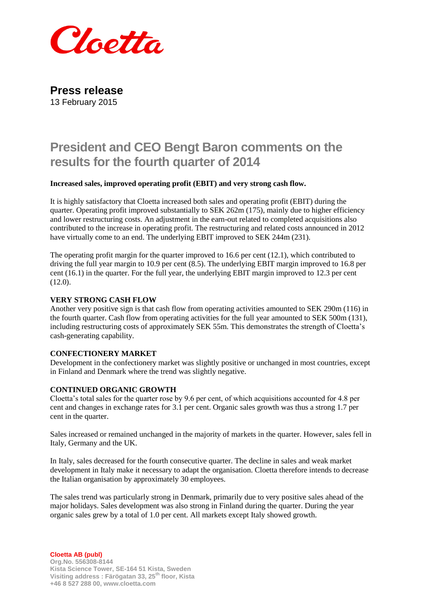

**Press release** 13 February 2015

# **President and CEO Bengt Baron comments on the results for the fourth quarter of 2014**

# **Increased sales, improved operating profit (EBIT) and very strong cash flow.**

It is highly satisfactory that Cloetta increased both sales and operating profit (EBIT) during the quarter. Operating profit improved substantially to SEK 262m (175), mainly due to higher efficiency and lower restructuring costs. An adjustment in the earn-out related to completed acquisitions also contributed to the increase in operating profit. The restructuring and related costs announced in 2012 have virtually come to an end. The underlying EBIT improved to SEK 244m (231).

The operating profit margin for the quarter improved to 16.6 per cent (12.1), which contributed to driving the full year margin to 10.9 per cent (8.5). The underlying EBIT margin improved to 16.8 per cent (16.1) in the quarter. For the full year, the underlying EBIT margin improved to 12.3 per cent (12.0).

# **VERY STRONG CASH FLOW**

Another very positive sign is that cash flow from operating activities amounted to SEK 290m (116) in the fourth quarter. Cash flow from operating activities for the full year amounted to SEK 500m (131), including restructuring costs of approximately SEK 55m. This demonstrates the strength of Cloetta's cash-generating capability.

# **CONFECTIONERY MARKET**

Development in the confectionery market was slightly positive or unchanged in most countries, except in Finland and Denmark where the trend was slightly negative.

## **CONTINUED ORGANIC GROWTH**

Cloetta's total sales for the quarter rose by 9.6 per cent, of which acquisitions accounted for 4.8 per cent and changes in exchange rates for 3.1 per cent. Organic sales growth was thus a strong 1.7 per cent in the quarter.

Sales increased or remained unchanged in the majority of markets in the quarter. However, sales fell in Italy, Germany and the UK.

In Italy, sales decreased for the fourth consecutive quarter. The decline in sales and weak market development in Italy make it necessary to adapt the organisation. Cloetta therefore intends to decrease the Italian organisation by approximately 30 employees.

The sales trend was particularly strong in Denmark, primarily due to very positive sales ahead of the major holidays. Sales development was also strong in Finland during the quarter. During the year organic sales grew by a total of 1.0 per cent. All markets except Italy showed growth.